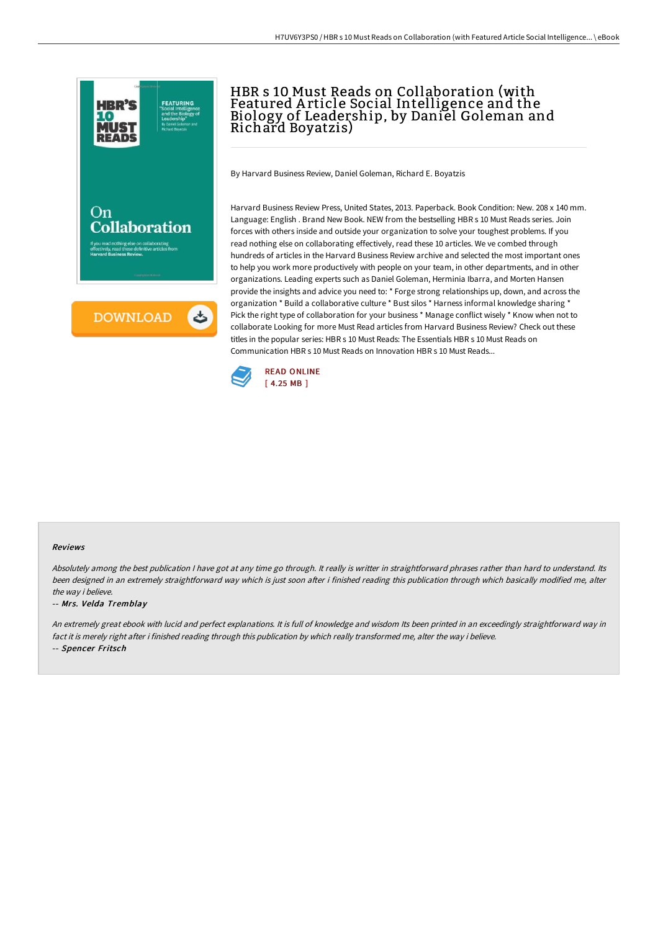

## HBR s 10 Must Reads on Collaboration (with Featured A rticle Social Intelligence and the Biology of Leadership, by Daniel Goleman and Richard Boyatzis)

By Harvard Business Review, Daniel Goleman, Richard E. Boyatzis

Harvard Business Review Press, United States, 2013. Paperback. Book Condition: New. 208 x 140 mm. Language: English . Brand New Book. NEW from the bestselling HBR s 10 Must Reads series. Join forces with others inside and outside your organization to solve your toughest problems. If you read nothing else on collaborating effectively, read these 10 articles. We ve combed through hundreds of articles in the Harvard Business Review archive and selected the most important ones to help you work more productively with people on your team, in other departments, and in other organizations. Leading experts such as Daniel Goleman, Herminia Ibarra, and Morten Hansen provide the insights and advice you need to: \* Forge strong relationships up, down, and across the organization \* Build a collaborative culture \* Bust silos \* Harness informal knowledge sharing \* Pick the right type of collaboration for your business \* Manage conflict wisely \* Know when not to collaborate Looking for more Must Read articles from Harvard Business Review? Check out these titles in the popular series: HBR s 10 Must Reads: The Essentials HBR s 10 Must Reads on Communication HBR s 10 Must Reads on Innovation HBR s 10 Must Reads...



## Reviews

Absolutely among the best publication I have got at any time go through. It really is writter in straightforward phrases rather than hard to understand. Its been designed in an extremely straightforward way which is just soon after i finished reading this publication through which basically modified me, alter the way i believe.

## -- Mrs. Velda Tremblay

An extremely great ebook with lucid and perfect explanations. It is full of knowledge and wisdom Its been printed in an exceedingly straightforward way in fact it is merely right after i finished reading through this publication by which really transformed me, alter the way i believe. -- Spencer Fritsch